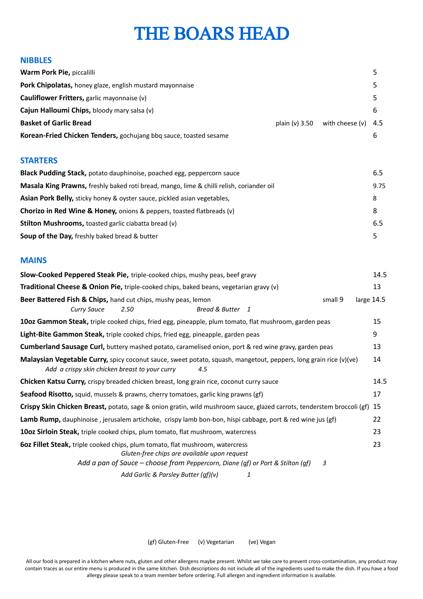## **NIBBLES**

| plain $(v)$ 3.50 | with cheese $(v)$ 4.5 |  |
|------------------|-----------------------|--|
|                  |                       |  |
|                  |                       |  |

# **STARTERS**

| Black Pudding Stack, potato dauphinoise, poached egg, peppercorn sauce                   |      |
|------------------------------------------------------------------------------------------|------|
| Masala King Prawns, freshly baked roti bread, mango, lime & chilli relish, coriander oil | 9.75 |
| Asian Pork Belly, sticky honey & oyster sauce, pickled asian vegetables,                 | 8    |
| Chorizo in Red Wine & Honey, onions & peppers, toasted flatbreads (v)                    | 8    |
| <b>Stilton Mushrooms, toasted garlic ciabatta bread (v)</b>                              | 6.5  |
| <b>Soup of the Day, freshly baked bread &amp; butter</b>                                 | 5    |

### **MAINS**

| Slow-Cooked Peppered Steak Pie, triple-cooked chips, mushy peas, beef gravy                                                                                                                                                 | 14.5       |
|-----------------------------------------------------------------------------------------------------------------------------------------------------------------------------------------------------------------------------|------------|
| Traditional Cheese & Onion Pie, triple-cooked chips, baked beans, vegetarian gravy (v)                                                                                                                                      | 13         |
| Beer Battered Fish & Chips, hand cut chips, mushy peas, lemon<br>small 9<br>Bread & Butter 1<br><b>Curry Sauce</b><br>2.50                                                                                                  | large 14.5 |
| 10oz Gammon Steak, triple cooked chips, fried egg, pineapple, plum tomato, flat mushroom, garden peas                                                                                                                       | 15         |
| Light-Bite Gammon Steak, triple cooked chips, fried egg, pineapple, garden peas                                                                                                                                             | 9          |
| Cumberland Sausage Curl, buttery mashed potato, caramelised onion, port & red wine gravy, garden peas                                                                                                                       | 13         |
| Malaysian Vegetable Curry, spicy coconut sauce, sweet potato, squash, mangetout, peppers, long grain rice (v)(ve)<br>Add a crispy skin chicken breast to your curry<br>4.5                                                  | 14         |
| <b>Chicken Katsu Curry, crispy breaded chicken breast, long grain rice, coconut curry sauce</b>                                                                                                                             | 14.5       |
| <b>Seafood Risotto,</b> squid, mussels & prawns, cherry tomatoes, garlic king prawns (gf)                                                                                                                                   | 17         |
| Crispy Skin Chicken Breast, potato, sage & onion gratin, wild mushroom sauce, glazed carrots, tenderstem broccoli (gf) 15                                                                                                   |            |
| Lamb Rump, dauphinoise, jerusalem artichoke, crispy lamb bon-bon, hispi cabbage, port & red wine jus (gf)                                                                                                                   | 22         |
| 10oz Sirloin Steak, triple cooked chips, plum tomato, flat mushroom, watercress                                                                                                                                             | 23         |
| <b>60z Fillet Steak,</b> triple cooked chips, plum tomato, flat mushroom, watercress<br>Gluten-free chips are available upon request<br>Add a pan of Sauce - choose from Peppercorn, Diane (gf) or Port & Stilton (gf)<br>3 | 23         |
| Add Garlic & Parsley Butter (gf)(v)<br>1                                                                                                                                                                                    |            |

(gf) Gluten-Free (v) Vegetarian (ve) Vegan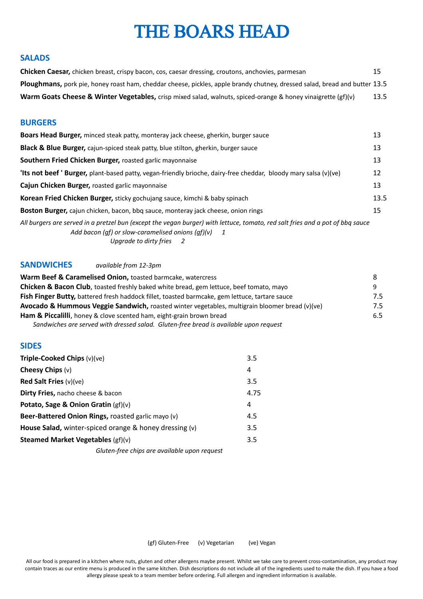## **SALADS**

| <b>Chicken Caesar,</b> chicken breast, crispy bacon, cos, caesar dressing, croutons, anchovies, parmesan                          | 15   |
|-----------------------------------------------------------------------------------------------------------------------------------|------|
| <b>Ploughmans,</b> pork pie, honey roast ham, cheddar cheese, pickles, apple brandy chutney, dressed salad, bread and butter 13.5 |      |
| Warm Goats Cheese & Winter Vegetables, crisp mixed salad, walnuts, spiced-orange & honey vinaigrette (gf)(v)                      | 13.5 |

# **BURGERS**

| Boars Head Burger, minced steak patty, monteray jack cheese, gherkin, burger sauce                                                                                                                                 |      |  |
|--------------------------------------------------------------------------------------------------------------------------------------------------------------------------------------------------------------------|------|--|
| Black & Blue Burger, cajun-spiced steak patty, blue stilton, gherkin, burger sauce                                                                                                                                 | 13   |  |
| Southern Fried Chicken Burger, roasted garlic mayonnaise                                                                                                                                                           |      |  |
| 'Its not beef ' Burger, plant-based patty, vegan-friendly brioche, dairy-free cheddar, bloody mary salsa (v)(ve)                                                                                                   | 12   |  |
| Cajun Chicken Burger, roasted garlic mayonnaise                                                                                                                                                                    |      |  |
| Korean Fried Chicken Burger, sticky gochujang sauce, kimchi & baby spinach                                                                                                                                         | 13.5 |  |
| <b>Boston Burger,</b> cajun chicken, bacon, bbg sauce, monteray jack cheese, onion rings                                                                                                                           | 15   |  |
| All burgers are served in a pretzel bun (except the vegan burger) with lettuce, tomato, red salt fries and a pot of bbg sauce<br>Add bacon (gf) or slow-caramelised onions $(gf)(v)$ 1<br>Uparade to dirty fries 2 |      |  |

## **SANDWICHES** *available from 12-3pm*

| Warm Beef & Caramelised Onion, toasted barmcake, watercress                                           |     |
|-------------------------------------------------------------------------------------------------------|-----|
| Chicken & Bacon Club, toasted freshly baked white bread, gem lettuce, beef tomato, mayo               |     |
| <b>Fish Finger Butty,</b> battered fresh haddock fillet, toasted barmcake, gem lettuce, tartare sauce | 7.5 |
| Avocado & Hummous Veggie Sandwich, roasted winter vegetables, multigrain bloomer bread (v)(ve)        | 7.5 |
| Ham & Piccalilli, honey & clove scented ham, eight-grain brown bread                                  |     |
| Sandwiches are served with dressed salad. Gluten-free bread is available upon request                 |     |

# **SIDES**

| Triple-Cooked Chips (v)(ve)                                        | 3.5  |
|--------------------------------------------------------------------|------|
| Cheesy Chips $(v)$                                                 | 4    |
| <b>Red Salt Fries</b> $(v)(ve)$                                    | 3.5  |
| <b>Dirty Fries, nacho cheese &amp; bacon</b>                       | 4.75 |
| Potato, Sage & Onion Gratin $(gf)(v)$                              | 4    |
| Beer-Battered Onion Rings, roasted garlic mayo (v)                 | 4.5  |
| <b>House Salad,</b> winter-spiced orange $\&$ honey dressing $(v)$ | 3.5  |
| <b>Steamed Market Vegetables (gf)(v)</b>                           |      |
| Gluten-free chips are available upon request                       |      |

(gf) Gluten-Free (v) Vegetarian (ve) Vegan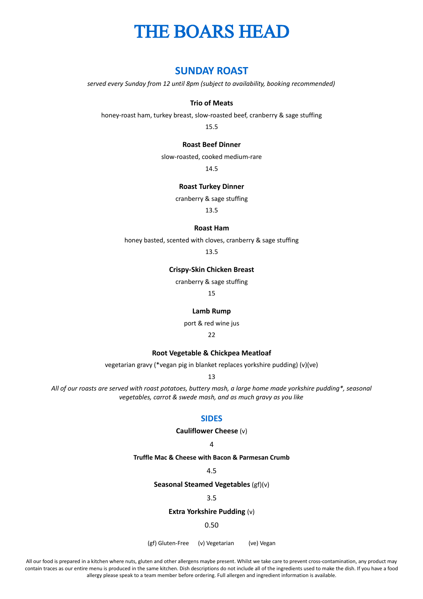# **SUNDAY ROAST**

*served every Sunday from 12 until 8pm (subject to availability, booking recommended)*

#### **Trio of Meats**

honey-roast ham, turkey breast, slow-roasted beef, cranberry & sage stuffing

15.5

#### **Roast Beef Dinner**

slow-roasted, cooked medium-rare

14.5

### **Roast Turkey Dinner**

cranberry & sage stuffing

13.5

#### **Roast Ham**

honey basted, scented with cloves, cranberry & sage stuffing

13.5

### **Crispy-Skin Chicken Breast**

cranberry & sage stuffing

15

#### **Lamb Rump**

port & red wine jus

22

#### **Root Vegetable & Chickpea Meatloaf**

vegetarian gravy (\*vegan pig in blanket replaces yorkshire pudding) (v)(ve)

13

*All of our roasts are served with roast potatoes, buttery mash, a large home made yorkshire pudding\*, seasonal vegetables, carrot & swede mash, and as much gravy as you like*

### **SIDES**

**Cauliflower Cheese** (v)

 $\Delta$ 

#### **Truffle Mac & Cheese with Bacon & Parmesan Crumb**

4.5

#### **Seasonal Steamed Vegetables** (gf)(v)

3.5

#### **Extra Yorkshire Pudding** (v)

#### 0.50

(gf) Gluten-Free (v) Vegetarian (ve) Vegan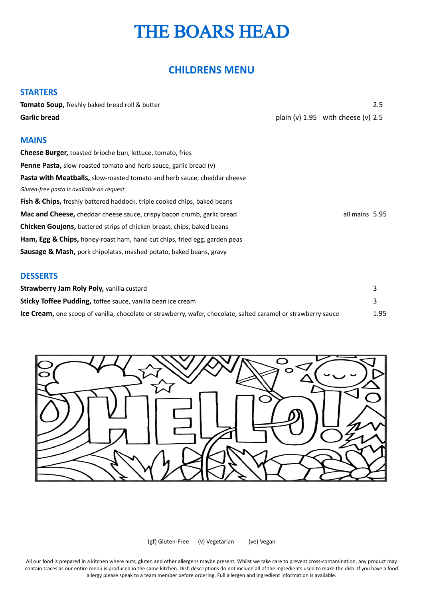# **CHILDRENS MENU**

| <b>STARTERS</b>                                                               |                                        |     |
|-------------------------------------------------------------------------------|----------------------------------------|-----|
| Tomato Soup, freshly baked bread roll & butter                                |                                        | 2.5 |
| <b>Garlic bread</b>                                                           | plain (v) $1.95$ with cheese (v) $2.5$ |     |
| <b>MAINS</b>                                                                  |                                        |     |
| <b>Cheese Burger, toasted brioche bun, lettuce, tomato, fries</b>             |                                        |     |
| <b>Penne Pasta,</b> slow-roasted tomato and herb sauce, garlic bread (v)      |                                        |     |
| Pasta with Meatballs, slow-roasted tomato and herb sauce, cheddar cheese      |                                        |     |
| Gluten-free pasta is available on request                                     |                                        |     |
| Fish & Chips, freshly battered haddock, triple cooked chips, baked beans      |                                        |     |
| <b>Mac and Cheese, cheddar cheese sauce, crispy bacon crumb, garlic bread</b> | all mains 5.95                         |     |
| <b>Chicken Goujons,</b> battered strips of chicken breast, chips, baked beans |                                        |     |
| Ham, Egg & Chips, honey-roast ham, hand cut chips, fried egg, garden peas     |                                        |     |
| <b>Sausage &amp; Mash,</b> pork chipolatas, mashed potato, baked beans, gravy |                                        |     |
| <b>DESSERTS</b>                                                               |                                        |     |
| Strawberry Jam Roly Poly, vanilla custard                                     |                                        | 3   |

| <b>Strawberry Jam Roly Poly, vanilla custard</b>                                                               |      |
|----------------------------------------------------------------------------------------------------------------|------|
| Sticky Toffee Pudding, toffee sauce, vanilla bean ice cream                                                    |      |
| Ice Cream, one scoop of vanilla, chocolate or strawberry, wafer, chocolate, salted caramel or strawberry sauce | 1.95 |



(gf) Gluten-Free (v) Vegetarian (ve) Vegan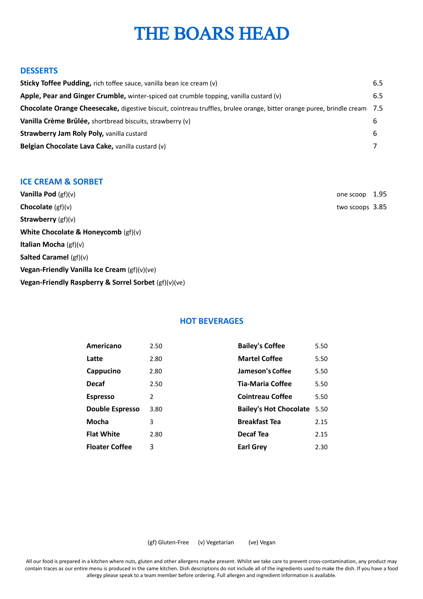### **DESSERTS**

| Sticky Toffee Pudding, rich toffee sauce, vanilla bean ice cream (v)                                                      | 6.5 |
|---------------------------------------------------------------------------------------------------------------------------|-----|
| Apple, Pear and Ginger Crumble, winter-spiced oat crumble topping, vanilla custard (v)                                    | 6.5 |
| Chocolate Orange Cheesecake, digestive biscuit, cointreau truffles, brulee orange, bitter orange puree, brindle cream 7.5 |     |
| Vanilla Crème Brûlée, shortbread biscuits, strawberry (v)                                                                 | b   |
| <b>Strawberry Jam Roly Poly, vanilla custard</b>                                                                          | 6   |
| Belgian Chocolate Lava Cake, vanilla custard (v)                                                                          |     |

## **ICE CREAM & SORBET**

| <b>Vanilla Pod</b> $(gf)(v)$                         | one scoop       | 1.95 |
|------------------------------------------------------|-----------------|------|
| <b>Chocolate</b> $(gf)(v)$                           | two scoops 3.85 |      |
| <b>Strawberry</b> $(gf)(v)$                          |                 |      |
| White Chocolate & Honeycomb $(gf)(v)$                |                 |      |
| <b>Italian Mocha</b> $(gf)(v)$                       |                 |      |
| Salted Caramel $(gf)(v)$                             |                 |      |
| Vegan-Friendly Vanilla Ice Cream (gf)(v)(ve)         |                 |      |
| Vegan-Friendly Raspberry & Sorrel Sorbet (gf)(v)(ve) |                 |      |
|                                                      |                 |      |

# **HOT BEVERAGES**

| Americano              | 2.50 | <b>Bailey's Coffee</b>        | 5.50 |
|------------------------|------|-------------------------------|------|
|                        |      |                               |      |
| Latte                  | 2.80 | <b>Martel Coffee</b>          | 5.50 |
| Cappucino              | 2.80 | Jameson's Coffee              | 5.50 |
| <b>Decaf</b>           | 2.50 | Tia-Maria Coffee              | 5.50 |
| <b>Espresso</b>        | 2    | <b>Cointreau Coffee</b>       | 5.50 |
| <b>Double Espresso</b> | 3.80 | <b>Bailey's Hot Chocolate</b> | 5.50 |
| Mocha                  | 3    | <b>Breakfast Tea</b>          | 2.15 |
| <b>Flat White</b>      | 2.80 | Decaf Tea                     | 2.15 |
| <b>Floater Coffee</b>  | 3    | <b>Earl Grey</b>              | 2.30 |
|                        |      |                               |      |

(gf) Gluten-Free (v) Vegetarian (ve) Vegan